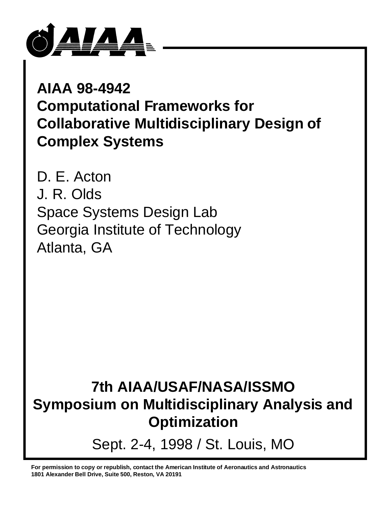

**AIAA 98-4942 Computational Frameworks for Collaborative Multidisciplinary Design of Complex Systems**

D. E. Acton J. R. Olds Space Systems Design Lab Georgia Institute of Technology Atlanta, GA

**7th AIAA/USAF/NASA/ISSMO Symposium on Multidisciplinary Analysis and Optimization**

Sept. 2-4, 1998 / St. Louis, MO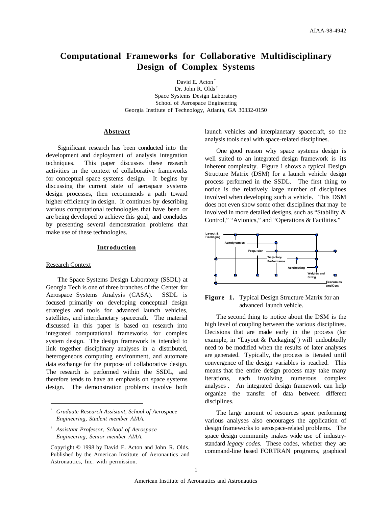# **Computational Frameworks for Collaborative Multidisciplinary Design of Complex Systems**

David E. Acton<sup>\*</sup> Dr. John R. Olds<sup>1</sup> Space Systems Design Laboratory School of Aerospace Engineering Georgia Institute of Technology, Atlanta, GA 30332-0150

# **Abstract**

Significant research has been conducted into the development and deployment of analysis integration techniques. This paper discusses these research activities in the context of collaborative frameworks for conceptual space systems design. It begins by discussing the current state of aerospace systems design processes, then recommends a path toward higher efficiency in design. It continues by describing various computational technologies that have been or are being developed to achieve this goal, and concludes by presenting several demonstration problems that make use of these technologies.

# **Introduction**

#### Research Context

The Space Systems Design Laboratory (SSDL) at Georgia Tech is one of three branches of the Center for Aerospace Systems Analysis (CASA). SSDL is focused primarily on developing conceptual design strategies and tools for advanced launch vehicles, satellites, and interplanetary spacecraft. The material discussed in this paper is based on research into integrated computational frameworks for complex system design. The design framework is intended to link together disciplinary analyses in a distributed, heterogeneous computing environment, and automate data exchange for the purpose of collaborative design. The research is performed within the SSDL, and therefore tends to have an emphasis on space systems design. The demonstration problems involve both launch vehicles and interplanetary spacecraft, so the analysis tools deal with space-related disciplines.

One good reason why space systems design is well suited to an integrated design framework is its inherent complexity. Figure 1 shows a typical Design Structure Matrix (DSM) for a launch vehicle design process performed in the SSDL. The first thing to notice is the relatively large number of disciplines involved when developing such a vehicle. This DSM does not even show some other disciplines that may be involved in more detailed designs, such as "Stability & Control," "Avionics," and "Operations & Facilities."



**Figure 1.** Typical Design Structure Matrix for an advanced launch vehicle.

The second thing to notice about the DSM is the high level of coupling between the various disciplines. Decisions that are made early in the process (for example, in "Layout & Packaging") will undoubtedly need to be modified when the results of later analyses are generated. Typically, the process is iterated until convergence of the design variables is reached. This means that the entire design process may take many iterations, each involving numerous complex analyses<sup>1</sup>. An integrated design framework can help organize the transfer of data between different disciplines.

The large amount of resources spent performing various analyses also encourages the application of design frameworks to aerospace-related problems. The space design community makes wide use of industrystandard *legacy codes*. These codes, whether they are command-line based FORTRAN programs, graphical

<sup>\*</sup> *Graduate Research Assistant, School of Aerospace Engineering, Student member AIAA.*

<sup>†</sup> *Assistant Professor, School of Aerospace Engineering, Senior member AIAA.*

Copyright © 1998 by David E. Acton and John R. Olds. Published by the American Institute of Aeronautics and Astronautics, Inc. with permission.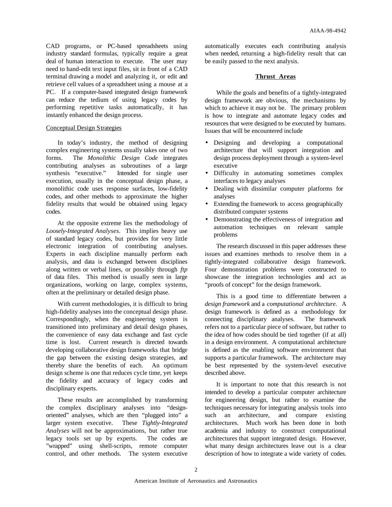CAD programs, or PC-based spreadsheets using industry standard formulas, typically require a great deal of human interaction to execute. The user may need to hand-edit text input files, sit in front of a CAD terminal drawing a model and analyzing it, or edit and retrieve cell values of a spreadsheet using a mouse at a PC. If a computer-based integrated design framework can reduce the tedium of using legacy codes by performing repetitive tasks automatically, it has instantly enhanced the design process.

# Conceptual Design Strategies

In today's industry, the method of designing complex engineering systems usually takes one of two forms. The *Monolithic Design Code* integrates contributing analyses as subroutines of a large synthesis "executive." Intended for single user execution, usually in the conceptual design phase, a monolithic code uses response surfaces, low-fidelity codes, and other methods to approximate the higher fidelity results that would be obtained using legacy codes.

At the opposite extreme lies the methodology of *Loosely-Integrated Analyses*. This implies heavy use of standard legacy codes, but provides for very little electronic integration of contributing analyses. Experts in each discipline manually perform each analysis, and data is exchanged between disciplines along written or verbal lines, or possibly through *ftp* of data files. This method is usually seen in large organizations, working on large, complex systems, often at the preliminary or detailed design phase.

With current methodologies, it is difficult to bring high-fidelity analyses into the conceptual design phase. Correspondingly, when the engineering system is transitioned into preliminary and detail design phases, the convenience of easy data exchange and fast cycle time is lost. Current research is directed towards developing collaborative design frameworks that bridge the gap between the existing design strategies, and thereby share the benefits of each. An optimum design scheme is one that reduces cycle time, yet keeps the fidelity and accuracy of legacy codes and disciplinary experts.

These results are accomplished by transforming the complex disciplinary analyses into "designoriented" analyses, which are then "plugged into" a larger system executive. These *Tightly-Integrated Analyses* will not be approximations, but rather true legacy tools set up by experts. The codes are "wrapped" using shell-scripts, remote computer control, and other methods. The system executive automatically executes each contributing analysis when needed, returning a high-fidelity result that can be easily passed to the next analysis.

# **Thrust Areas**

While the goals and benefits of a tightly-integrated design framework are obvious, the mechanisms by which to achieve it may not be. The primary problem is how to integrate and automate legacy codes and resources that were designed to be executed by humans. Issues that will be encountered include

- Designing and developing a computational architecture that will support integration and design process deployment through a system-level executive
- Difficulty in automating sometimes complex interfaces to legacy analyses
- Dealing with dissimilar computer platforms for analyses
- Extending the framework to access geographically distributed computer systems
- Demonstrating the effectiveness of integration and automation techniques on relevant sample problems

The research discussed in this paper addresses these issues and examines methods to resolve them in a tightly-integrated collaborative design framework. Four demonstration problems were constructed to showcase the integration technologies and act as "proofs of concept" for the design framework.

This is a good time to differentiate between a *design framework* and a *computational architecture*. A design framework is defined as a methodology for connecting disciplinary analyses. The framework refers not to a particular piece of software, but rather to the idea of how codes should be tied together (if at all) in a design environment. A computational architecture is defined as the enabling software environment that supports a particular framework. The architecture may be best represented by the system-level executive described above.

It is important to note that this research is not intended to develop a particular computer architecture for engineering design, but rather to examine the techniques necessary for integrating analysis tools into such an architecture, and compare existing architectures. Much work has been done in both academia and industry to construct computational architectures that support integrated design. However, what many design architectures leave out is a clear description of how to integrate a wide variety of codes.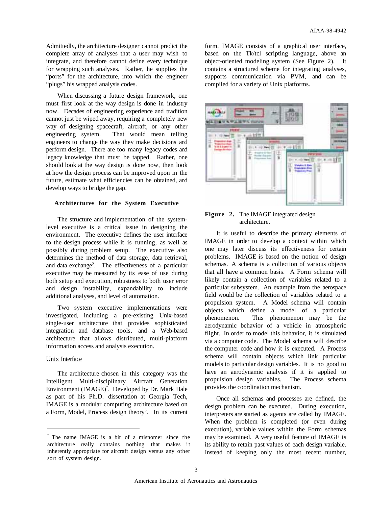Admittedly, the architecture designer cannot predict the complete array of analyses that a user may wish to integrate, and therefore cannot define every technique for wrapping such analyses. Rather, he supplies the "ports" for the architecture, into which the engineer "plugs" his wrapped analysis codes.

When discussing a future design framework, one must first look at the way design is done in industry now. Decades of engineering experience and tradition cannot just be wiped away, requiring a completely new way of designing spacecraft, aircraft, or any other engineering system. That would mean telling engineers to change the way they make decisions and perform design. There are too many legacy codes and legacy knowledge that must be tapped. Rather, one should look at the way design is done now, then look at how the design process can be improved upon in the future, estimate what efficiencies can be obtained, and develop ways to bridge the gap.

# **Architectures for the System Executive**

The structure and implementation of the systemlevel executive is a critical issue in designing the environment. The executive defines the user interface to the design process while it is running, as well as possibly during problem setup. The executive also determines the method of data storage, data retrieval, and data exchange<sup>2</sup>. The effectiveness of a particular executive may be measured by its ease of use during both setup and execution, robustness to both user error and design instability, expandability to include additional analyses, and level of automation.

Two system executive implementations were investigated, including a pre-existing Unix-based single-user architecture that provides sophisticated integration and database tools, and a Web-based architecture that allows distributed, multi-platform information access and analysis execution.

# Unix Interface

The architecture chosen in this category was the Intelligent Multi-disciplinary Aircraft Generation Environment (IMAGE)\* . Developed by Dr. Mark Hale as part of his Ph.D. dissertation at Georgia Tech, IMAGE is a modular computing architecture based on a Form, Model, Process design theory<sup>3</sup>. In its current

form, IMAGE consists of a graphical user interface, based on the Tk/tcl scripting language, above an object-oriented modeling system (See Figure 2). It contains a structured scheme for integrating analyses, supports communication via PVM, and can be compiled for a variety of Unix platforms.



**Figure 2.** The IMAGE integrated design architecture.

It is useful to describe the primary elements of IMAGE in order to develop a context within which one may later discuss its effectiveness for certain problems. IMAGE is based on the notion of design schemas. A schema is a collection of various objects that all have a common basis. A Form schema will likely contain a collection of variables related to a particular subsystem. An example from the aerospace field would be the collection of variables related to a propulsion system. A Model schema will contain objects which define a model of a particular phenomenon. This phenomenon may be the aerodynamic behavior of a vehicle in atmospheric flight. In order to model this behavior, it is simulated via a computer code. The Model schema will describe the computer code and how it is executed. A Process schema will contain objects which link particular models to particular design variables. It is no good to have an aerodynamic analysis if it is applied to propulsion design variables. The Process schema provides the coordination mechanism.

Once all schemas and processes are defined, the design problem can be executed. During execution, interpreters are started as agents are called by IMAGE. When the problem is completed (or even during execution), variable values within the Form schemas may be examined. A very useful feature of IMAGE is its ability to retain past values of each design variable. Instead of keeping only the most recent number,

<sup>\*</sup> The name IMAGE is a bit of a misnomer since the architecture really contains nothing that makes it inherently appropriate for aircraft design versus any other sort of system design.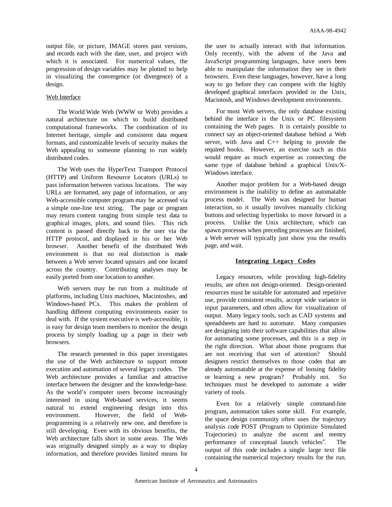output file, or picture, IMAGE stores past versions, and records each with the date, user, and project with which it is associated. For numerical values, the progression of design variables may be plotted to help in visualizing the convergence (or divergence) of a design.

# Web Interface

The World Wide Web (WWW or Web) provides a natural architecture on which to build distributed computational frameworks. The combination of its Internet heritage, simple and consistent data request formats, and customizable levels of security makes the Web appealing to someone planning to run widely distributed codes.

The Web uses the HyperText Transport Protocol (HTTP) and Uniform Resource Locators (URLs) to pass information between various locations. The way URLs are formatted, any page of information, or any Web-accessible computer program may be accessed via a simple one-line text string. The page or program may return content ranging from simple text data to graphical images, plots, and sound files. This rich content is passed directly back to the user via the HTTP protocol, and displayed in his or her Web browser. Another benefit of the distributed Web environment is that no real distinction is made between a Web server located upstairs and one located across the country. Contributing analyses may be easily ported from one location to another.

Web servers may be run from a multitude of platforms, including Unix machines, Macintoshes, and Windows-based PCs. This makes the problem of handling different computing environments easier to deal with. If the system executive is web-accessible, it is easy for design team members to monitor the design process by simply loading up a page in their web browsers.

The research presented in this paper investigates the use of the Web architecture to support remote execution and automation of several legacy codes. The Web architecture provides a familiar and attractive interface between the designer and the knowledge-base. As the world's computer users become increasingly interested in using Web-based services, it seems natural to extend engineering design into this environment. However, the field of Webprogramming is a relatively new one, and therefore is still developing. Even with its obvious benefits, the Web architecture falls short in some areas. The Web was originally designed simply as a way to display information, and therefore provides limited means for

the user to actually interact with that information. Only recently, with the advent of the Java and JavaScript programming languages, have users been able to manipulate the information they see in their browsers. Even these languages, however, have a long way to go before they can compete with the highly developed graphical interfaces provided in the Unix, Macintosh, and Windows development environments.

For most Web servers, the only database existing behind the interface is the Unix or PC filesystem containing the Web pages. It is certainly possible to connect say an object-oriented database behind a Web server, with Java and  $C_{++}$  helping to provide the required hooks. However, an exercise such as this would require as much expertise as connecting the same type of database behind a graphical Unix/X-Windows interface.

Another major problem for a Web-based design environment is the inability to define an automatable process model. The Web was designed for human interaction, so it usually involves manually clicking buttons and selecting hyperlinks to move forward in a process. Unlike the Unix architecture, which can spawn processes when preceding processes are finished, a Web server will typically just show you the results page, and wait.

# **Integrating Legacy Codes**

Legacy resources, while providing high-fidelity results, are often not design-oriented. Design-oriented resources must be suitable for automated and repetitive use, provide consistent results, accept wide variance in input parameters, and often allow for visualization of output. Many legacy tools, such as CAD systems and spreadsheets are hard to automate. Many companies are designing into their software capabilities that allow for automating some processes, and this is a step in the right direction. What about those programs that are not receiving that sort of attention? Should designers restrict themselves to those codes that are already automatable at the expense of loosing fidelity or learning a new program? Probably not. So techniques must be developed to automate a wider variety of tools.

Even for a relatively simple command-line program, automation takes some skill. For example, the space design community often uses the trajectory analysis code POST (Program to Optimize Simulated Trajectories) to analyze the ascent and reentry performance of conceptual launch vehicles<sup>4</sup>. . The output of this code includes a single large text file containing the numerical trajectory results for the run.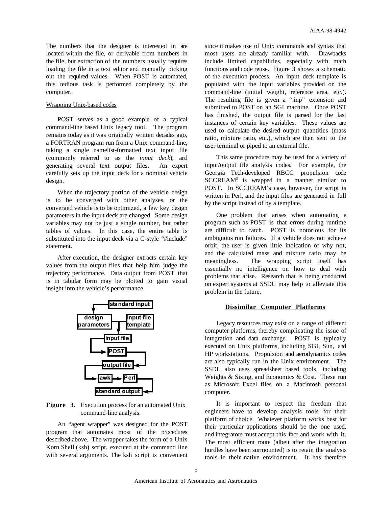The numbers that the designer is interested in are located within the file, or derivable from numbers in the file, but extraction of the numbers usually requires loading the file in a text editor and manually picking out the required values. When POST is automated, this tedious task is performed completely by the computer.

# Wrapping Unix-based codes

POST serves as a good example of a typical command-line based Unix legacy tool. The program remains today as it was originally written decades ago, a FORTRAN program run from a Unix command-line, taking a single namelist-formatted text input file (commonly referred to as the *input deck*), and generating several text output files. An expert carefully sets up the input deck for a nominal vehicle design.

When the trajectory portion of the vehicle design is to be converged with other analyses, or the converged vehicle is to be optimized, a few key design parameters in the input deck are changed. Some design variables may not be just a single number, but rather tables of values. In this case, the entire table is substituted into the input deck via a C-style "#include" statement.

After execution, the designer extracts certain key values from the output files that help him judge the trajectory performance. Data output from POST that is in tabular form may be plotted to gain visual insight into the vehicle's performance.



**Figure 3.** Execution process for an automated Unix command-line analysis.

An "agent wrapper" was designed for the POST program that automates most of the procedures described above. The wrapper takes the form of a Unix Korn Shell (ksh) script, executed at the command line with several arguments. The ksh script is convenient

since it makes use of Unix commands and syntax that most users are already familiar with. Drawbacks include limited capabilities, especially with math functions and code reuse. Figure 3 shows a schematic of the execution process. An input deck template is populated with the input variables provided on the command-line (initial weight, reference area, etc.). The resulting file is given a ".inp" extension and submitted to POST on an SGI machine. Once POST has finished, the output file is parsed for the last instances of certain key variables. These values are used to calculate the desired output quantities (mass ratio, mixture ratio, etc.), which are then sent to the user terminal or piped to an external file.

This same procedure may be used for a variety of input/output file analysis codes. For example, the Georgia Tech-developed RBCC propulsion code SCCREAM<sup>5</sup> is wrapped in a manner similar to POST. In SCCREAM's case, however, the script is written in Perl, and the input files are generated in full by the script instead of by a template.

One problem that arises when automating a program such as POST is that errors during runtime are difficult to catch. POST is notorious for its ambiguous run failures. If a vehicle does not achieve orbit, the user is given little indication of why not, and the calculated mass and mixture ratio may be meaningless. The wrapping script itself has essentially no intelligence on how to deal with problems that arise. Research that is being conducted on expert systems at SSDL may help to alleviate this problem in the future.

#### **Dissimilar Computer Platforms**

Legacy resources may exist on a range of different computer platforms, thereby complicating the issue of integration and data exchange. POST is typically executed on Unix platforms, including SGI, Sun, and HP workstations. Propulsion and aerodynamics codes are also typically run in the Unix environment. The SSDL also uses spreadsheet based tools, including Weights & Sizing, and Economics & Cost. These run as Microsoft Excel files on a Macintosh personal computer.

It is important to respect the freedom that engineers have to develop analysis tools for their platform of choice. Whatever platform works best for their particular applications should be the one used, and integrators must accept this fact and work with it. The most efficient route (albeit after the integration hurdles have been surmounted) is to retain the analysis tools in their native environment. It has therefore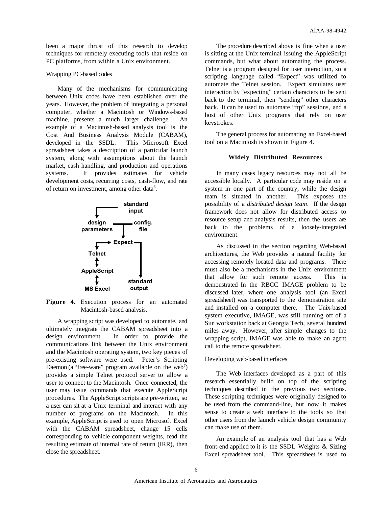been a major thrust of this research to develop techniques for remotely executing tools that reside on PC platforms, from within a Unix environment.

### Wrapping PC-based codes

Many of the mechanisms for communicating between Unix codes have been established over the years. However, the problem of integrating a personal computer, whether a Macintosh or Windows-based machine, presents a much larger challenge. An example of a Macintosh-based analysis tool is the Cost And Business Analysis Module (CABAM), developed in the SSDL. This Microsoft Excel spreadsheet takes a description of a particular launch system, along with assumptions about the launch market, cash handling, and production and operations systems. It provides estimates for vehicle development costs, recurring costs, cash-flow, and rate of return on investment, among other data<sup>6</sup>.



**Figure 4.** Execution process for an automated Macintosh-based analysis.

A wrapping script was developed to automate, and ultimately integrate the CABAM spreadsheet into a design environment. In order to provide the communications link between the Unix environment and the Macintosh operating system, two key pieces of pre-existing software were used. Peter's Scripting Daemon (a "free-ware" program available on the web<sup>7</sup>) provides a simple Telnet protocol server to allow a user to connect to the Macintosh. Once connected, the user may issue commands that execute AppleScript procedures. The AppleScript scripts are pre-written, so a user can sit at a Unix terminal and interact with any number of programs on the Macintosh. In this example, AppleScript is used to open Microsoft Excel with the CABAM spreadsheet, change 15 cells corresponding to vehicle component weights, read the resulting estimate of internal rate of return (IRR), then close the spreadsheet.

The procedure described above is fine when a user is sitting at the Unix terminal issuing the AppleScript commands, but what about automating the process. Telnet is a program designed for user interaction, so a scripting language called "Expect" was utilized to automate the Telnet session. Expect simulates user interaction by "expecting" certain characters to be sent back to the terminal, then "sending" other characters back. It can be used to automate "ftp" sessions, and a host of other Unix programs that rely on user keystrokes.

The general process for automating an Excel-based tool on a Macintosh is shown in Figure 4.

### **Widely Distributed Resources**

In many cases legacy resources may not all be accessible locally. A particular code may reside on a system in one part of the country, while the design team is situated in another. This exposes the possibility of a *distributed design team*. If the design framework does not allow for distributed access to resource setup and analysis results, then the users are back to the problems of a loosely-integrated environment.

As discussed in the section regarding Web-based architectures, the Web provides a natural facility for accessing remotely located data and programs. There must also be a mechanisms in the Unix environment that allow for such remote access. This is demonstrated In the RBCC IMAGE problem to be discussed later, where one analysis tool (an Excel spreadsheet) was transported to the demonstration site and installed on a computer there. The Unix-based system executive, IMAGE, was still running off of a Sun workstation back at Georgia Tech, several hundred miles away. However, after simple changes to the wrapping script, IMAGE was able to make an agent call to the remote spreadsheet.

# Developing web-based interfaces

The Web interfaces developed as a part of this research essentially build on top of the scripting techniques described in the previous two sections. These scripting techniques were originally designed to be used from the command-line, but now it makes sense to create a web interface to the tools so that other users from the launch vehicle design community can make use of them.

An example of an analysis tool that has a Web front-end applied to it is the SSDL Weights & Sizing Excel spreadsheet tool. This spreadsheet is used to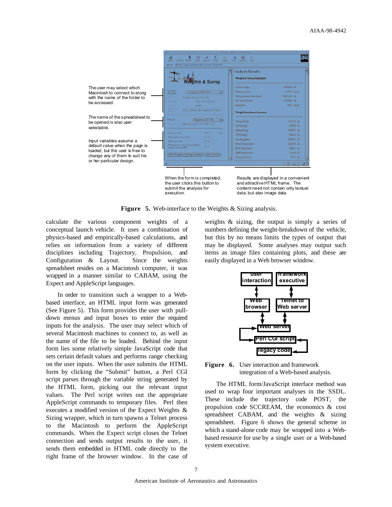

**Figure 5.** Web-interface to the Weights & Sizing analysis.

calculate the various component weights of a conceptual launch vehicle. It uses a combination of physics-based and empirically-based calculations, and relies on information from a variety of different disciplines including Trajectory, Propulsion, and Configuration & Layout. Since the weights spreadsheet resides on a Macintosh computer, it was wrapped in a manner similar to CABAM, using the Expect and AppleScript languages.

In order to transition such a wrapper to a Webbased interface, an HTML input form was generated (See Figure 5). This form provides the user with pulldown menus and input boxes to enter the required inputs for the analysis. The user may select which of several Macintosh machines to connect to, as well as the name of the file to be loaded. Behind the input form lies some relatively simple JavaScript code that sets certain default values and performs range checking on the user inputs. When the user submits the HTML form by clicking the "Submit" button, a Perl CGI script parses through the variable string generated by the HTML form, picking out the relevant input values. The Perl script writes out the appropriate AppleScript commands to temporary files. Perl then executes a modified version of the Expect Weights & Sizing wrapper, which in turn spawns a Telnet process to the Macintosh to perform the AppleScript commands. When the Expect script closes the Telnet connection and sends output results to the user, it sends them embedded in HTML code directly to the right frame of the browser window. In the case of

weights & sizing, the output is simply a series of numbers defining the weight-breakdown of the vehicle, but this by no means limits the types of output that may be displayed. Some analyses may output such items as image files containing plots, and these are easily displayed in a Web browser window.



**Figure 6.** User interaction and framework integration of a Web-based analysis.

The HTML form/JavaScript interface method was used to wrap four important analyses in the SSDL. These include the trajectory code POST, the propulsion code SCCREAM, the economics & cost spreadsheet CABAM, and the weights & sizing spreadsheet. Figure 6 shows the general scheme in which a stand-alone code may be wrapped into a Webbased resource for use by a single user or a Web-based system executive.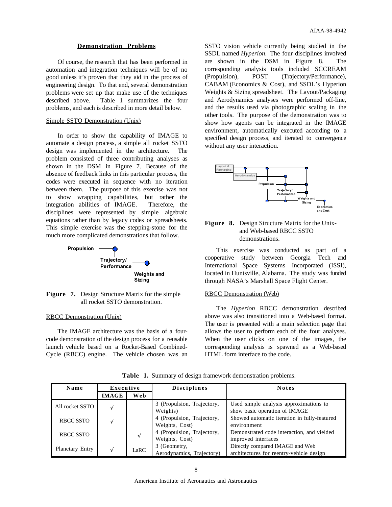#### **Demonstration Problems**

Of course, the research that has been performed in automation and integration techniques will be of no good unless it's proven that they aid in the process of engineering design. To that end, several demonstration problems were set up that make use of the techniques described above. Table 1 summarizes the four problems, and each is described in more detail below.

### Simple SSTO Demonstration (Unix)

In order to show the capability of IMAGE to automate a design process, a simple all rocket SSTO design was implemented in the architecture. The problem consisted of three contributing analyses as shown in the DSM in Figure 7. Because of the absence of feedback links in this particular process, the codes were executed in sequence with no iteration between them. The purpose of this exercise was not to show wrapping capabilities, but rather the integration abilities of IMAGE. Therefore, the disciplines were represented by simple algebraic equations rather than by legacy codes or spreadsheets. This simple exercise was the stepping-stone for the much more complicated demonstrations that follow.





# RBCC Demonstration (Unix)

The IMAGE architecture was the basis of a fourcode demonstration of the design process for a reusable launch vehicle based on a Rocket-Based Combined-Cycle (RBCC) engine. The vehicle chosen was an SSTO vision vehicle currently being studied in the SSDL named *Hyperion*. The four disciplines involved are shown in the DSM in Figure 8. The corresponding analysis tools included SCCREAM (Propulsion), POST (Trajectory/Performance), CABAM (Economics & Cost), and SSDL's Hyperion Weights & Sizing spreadsheet. The Layout/Packaging and Aerodynamics analyses were performed off-line, and the results used via photographic scaling in the other tools. The purpose of the demonstration was to show how agents can be integrated in the IMAGE environment, automatically executed according to a specified design process, and iterated to convergence without any user interaction.



# **Figure 8.** Design Structure Matrix for the Unixand Web-based RBCC SSTO demonstrations.

This exercise was conducted as part of a cooperative study between Georgia Tech and International Space Systems Incorporated (ISSI), located in Huntsville, Alabama. The study was funded through NASA's Marshall Space Flight Center.

#### RBCC Demonstration (Web)

The *Hyperion* RBCC demonstration described above was also transitioned into a Web-based format. The user is presented with a main selection page that allows the user to perform each of the four analyses. When the user clicks on one of the images, the corresponding analysis is spawned as a Web-based HTML form interface to the code.

| Name                   | Executive    |      | <b>Disciplines</b>                           | <b>Notes</b>                                                                |
|------------------------|--------------|------|----------------------------------------------|-----------------------------------------------------------------------------|
|                        | <b>IMAGE</b> | Web  |                                              |                                                                             |
| All rocket SSTO        |              |      | 3 (Propulsion, Trajectory,<br>Weights)       | Used simple analysis approximations to<br>show basic operation of IMAGE     |
| RBCC SSTO              |              |      | 4 (Propulsion, Trajectory,<br>Weights, Cost) | Showed automatic iteration in fully-featured<br>environment                 |
| RBCC SSTO              |              | V    | 4 (Propulsion, Trajectory,<br>Weights, Cost) | Demonstrated code interaction, and yielded<br>improved interfaces           |
| <b>Planetary Entry</b> |              | LaRC | 3 (Geometry,<br>Aerodynamics, Trajectory)    | Directly compared IMAGE and Web<br>architectures for reentry-vehicle design |

**Table 1.** Summary of design framework demonstration problems.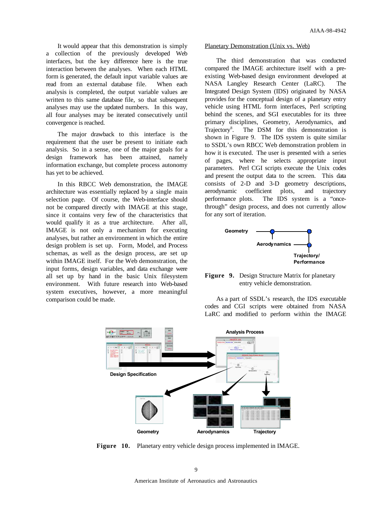It would appear that this demonstration is simply a collection of the previously developed Web interfaces, but the key difference here is the true interaction between the analyses. When each HTML form is generated, the default input variable values are read from an external database file. When each analysis is completed, the output variable values are written to this same database file, so that subsequent analyses may use the updated numbers. In this way, all four analyses may be iterated consecutively until convergence is reached.

The major drawback to this interface is the requirement that the user be present to initiate each analysis. So in a sense, one of the major goals for a design framework has been attained, namely information exchange, but complete process autonomy has yet to be achieved.

In this RBCC Web demonstration, the IMAGE architecture was essentially replaced by a single main selection page. Of course, the Web-interface should not be compared directly with IMAGE at this stage, since it contains very few of the characteristics that would qualify it as a true architecture. After all, IMAGE is not only a mechanism for executing analyses, but rather an environment in which the entire design problem is set up. Form, Model, and Process schemas, as well as the design process, are set up within IMAGE itself. For the Web demonstration, the input forms, design variables, and data exchange were all set up by hand in the basic Unix filesystem environment. With future research into Web-based system executives, however, a more meaningful comparison could be made.

#### Planetary Demonstration (Unix vs. Web)

The third demonstration that was conducted compared the IMAGE architecture itself with a preexisting Web-based design environment developed at NASA Langley Research Center (LaRC). The Integrated Design System (IDS) originated by NASA provides for the conceptual design of a planetary entry vehicle using HTML form interfaces, Perl scripting behind the scenes, and SGI executables for its three primary disciplines, Geometry, Aerodynamics, and Trajectory<sup>8</sup>. . The DSM for this demonstration is shown in Figure 9. The IDS system is quite similar to SSDL's own RBCC Web demonstration problem in how it is executed. The user is presented with a series of pages, where he selects appropriate input parameters. Perl CGI scripts execute the Unix codes and present the output data to the screen. This data consists of 2-D and 3-D geometry descriptions, aerodynamic coefficient plots, and trajectory performance plots. The IDS system is a "oncethrough" design process, and does not currently allow for any sort of iteration.



# **Figure 9.** Design Structure Matrix for planetary entry vehicle demonstration.

As a part of SSDL's research, the IDS executable codes and CGI scripts were obtained from NASA LaRC and modified to perform within the IMAGE



**Figure 10.** Planetary entry vehicle design process implemented in IMAGE.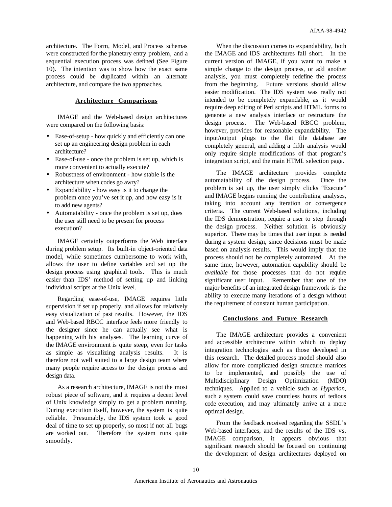architecture. The Form, Model, and Process schemas were constructed for the planetary entry problem, and a sequential execution process was defined (See Figure 10). The intention was to show how the exact same process could be duplicated within an alternate architecture, and compare the two approaches.

# **Architecture Comparisons**

IMAGE and the Web-based design architectures were compared on the following basis:

- Ease-of-setup how quickly and efficiently can one set up an engineering design problem in each architecture?
- Ease-of-use once the problem is set up, which is more convenient to actually execute?
- Robustness of environment how stable is the architecture when codes go awry?
- Expandability how easy is it to change the problem once you've set it up, and how easy is it to add new agents?
- Automatability once the problem is set up, does the user still need to be present for process execution?

IMAGE certainly outperforms the Web interface during problem setup. Its built-in object-oriented data model, while sometimes cumbersome to work with, allows the user to define variables and set up the design process using graphical tools. This is much easier than IDS' method of setting up and linking individual scripts at the Unix level.

Regarding ease-of-use, IMAGE requires little supervision if set up properly, and allows for relatively easy visualization of past results. However, the IDS and Web-based RBCC interface feels more friendly to the designer since he can actually see what is happening with his analyses. The learning curve of the IMAGE environment is quite steep, even for tasks as simple as visualizing analysis results. It is therefore not well suited to a large design team where many people require access to the design process and design data.

As a research architecture, IMAGE is not the most robust piece of software, and it requires a decent level of Unix knowledge simply to get a problem running. During execution itself, however, the system is quite reliable. Presumably, the IDS system took a good deal of time to set up properly, so most if not all bugs are worked out. Therefore the system runs quite smoothly.

When the discussion comes to expandability, both the IMAGE and IDS architectures fall short. In the current version of IMAGE, if you want to make a simple change to the design process, or add another analysis, you must completely redefine the process from the beginning. Future versions should allow easier modification. The IDS system was really not intended to be completely expandable, as it would require deep editing of Perl scripts and HTML forms to generate a new analysis interface or restructure the design process. The Web-based RBCC problem, however, provides for reasonable expandability. The input/output plugs to the flat file database are completely general, and adding a fifth analysis would only require simple modifications of that program's integration script, and the main HTML selection page.

The IMAGE architecture provides complete automatability of the design process. Once the problem is set up, the user simply clicks "Execute" and IMAGE begins running the contributing analyses, taking into account any iteration or convergence criteria. The current Web-based solutions, including the IDS demonstration, require a user to step through the design process. Neither solution is obviously superior. There may be times that user input is needed during a system design, since decisions must be made based on analysis results. This would imply that the process should not be completely automated. At the same time, however, automation capability should be *available* for those processes that do not require significant user input. Remember that one of the major benefits of an integrated design framework is the ability to execute many iterations of a design without the requirement of constant human participation.

#### **Conclusions and Future Research**

The IMAGE architecture provides a convenient and accessible architecture within which to deploy integration technologies such as those developed in this research. The detailed process model should also allow for more complicated design structure matrices to be implemented, and possibly the use of Multidisciplinary Design Optimization (MDO) techniques. Applied to a vehicle such as *Hyperion*, such a system could save countless hours of tedious code execution, and may ultimately arrive at a more optimal design.

From the feedback received regarding the SSDL's Web-based interfaces, and the results of the IDS vs. IMAGE comparison, it appears obvious that significant research should be focused on continuing the development of design architectures deployed on